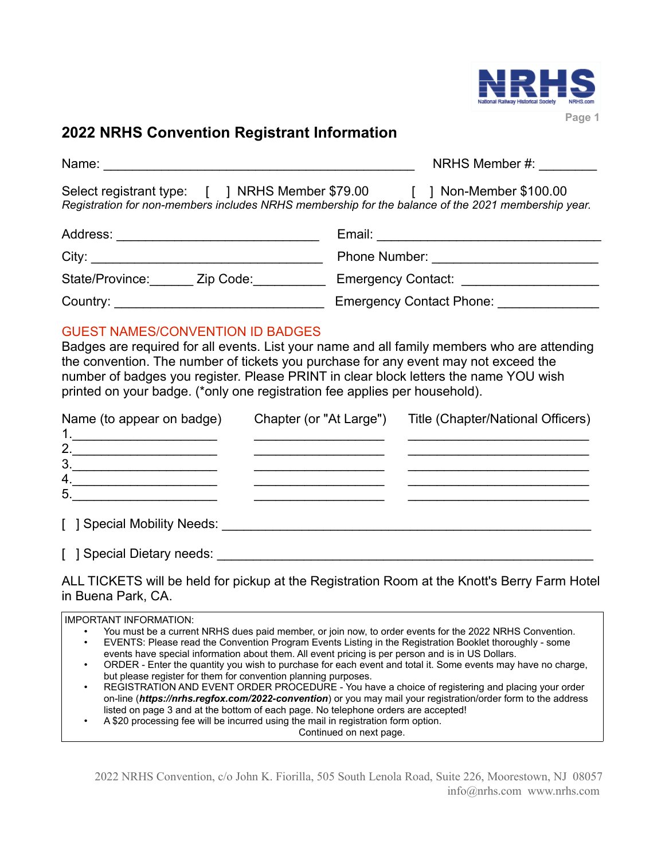

# **2022 NRHS Convention Registrant Information**

| Name:                                                                                                                                                   | NRHS Member #:        |
|---------------------------------------------------------------------------------------------------------------------------------------------------------|-----------------------|
| Select registrant type: [ ] NRHS Member \$79.00 [<br>Registration for non-members includes NRHS membership for the balance of the 2021 membership year. | 1 Non-Member \$100.00 |
| Address:                                                                                                                                                | Email:                |
| City:                                                                                                                                                   | Phone Number:         |

State/Province:\_\_\_\_\_\_\_ Zip Code:\_\_\_\_\_\_\_\_\_\_\_\_ Emergency Contact: \_\_\_\_\_\_\_\_\_\_\_\_\_\_\_\_ Country: example and the contact Phone: Emergency Contact Phone:  $\Box$ 

## GUEST NAMES/CONVENTION ID BADGES

Badges are required for all events. List your name and all family members who are attending the convention. The number of tickets you purchase for any event may not exceed the number of badges you register. Please PRINT in clear block letters the name YOU wish printed on your badge. (\*only one registration fee applies per household).

| Name (to appear on badge)       | Chapter (or "At Large") | Title (Chapter/National Officers) |
|---------------------------------|-------------------------|-----------------------------------|
| $\mathbf 1$ .<br>2.             |                         |                                   |
| 3 <sub>1</sub>                  |                         |                                   |
| 4.                              |                         |                                   |
| 5                               |                         |                                   |
| [ ] Special Mobility Needs: ___ |                         |                                   |

[ ] Special Dietary needs: \_\_\_\_\_\_\_\_\_\_\_\_\_\_\_\_\_\_\_\_\_\_\_\_\_\_\_\_\_\_\_\_\_\_\_\_\_\_\_\_\_\_\_\_\_\_\_\_\_\_\_\_

## ALL TICKETS will be held for pickup at the Registration Room at the Knott's Berry Farm Hotel in Buena Park, CA.

IMPORTANT INFORMATION:

- You must be a current NRHS dues paid member, or join now, to order events for the 2022 NRHS Convention.
- EVENTS: Please read the Convention Program Events Listing in the Registration Booklet thoroughly some events have special information about them. All event pricing is per person and is in US Dollars.
- ORDER Enter the quantity you wish to purchase for each event and total it. Some events may have no charge, but please register for them for convention planning purposes.
- REGISTRATION AND EVENT ORDER PROCEDURE You have a choice of registering and placing your order on-line (*https://nrhs.regfox.com/2022-convention*) or you may mail your registration/order form to the address listed on page 3 and at the bottom of each page. No telephone orders are accepted!
- A \$20 processing fee will be incurred using the mail in registration form option.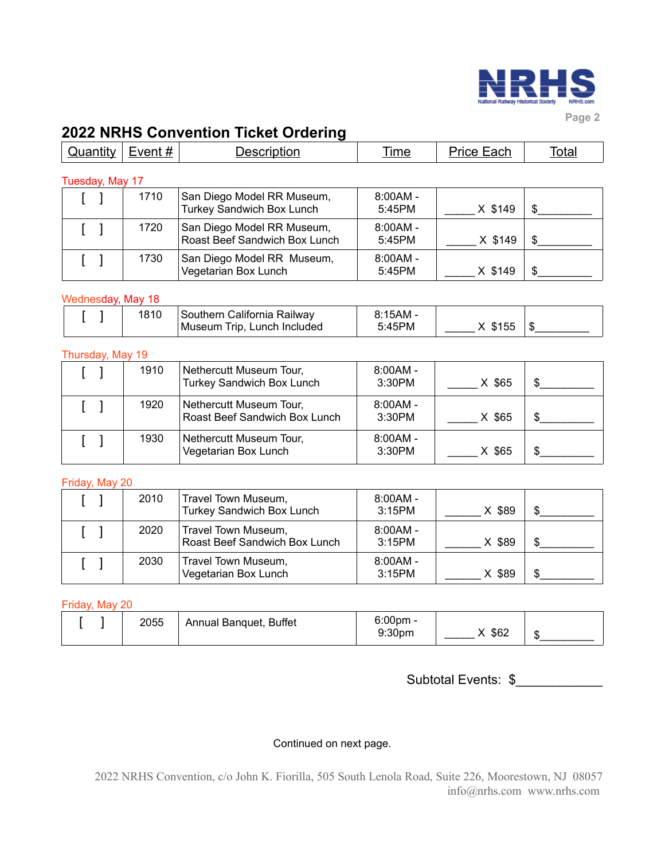

**Page 2** 

# **2022 NRHS Convention Ticket Ordering**

| Quantity          | Event $#$       | <b>Description</b>                                             | Time                 | Price Each | <b>Total</b> |  |
|-------------------|-----------------|----------------------------------------------------------------|----------------------|------------|--------------|--|
|                   | Tuesday, May 17 |                                                                |                      |            |              |  |
|                   | 1710            | San Diego Model RR Museum,<br><b>Turkey Sandwich Box Lunch</b> | $8:00AM -$<br>5:45PM | X \$149    |              |  |
|                   | 1720            | San Diego Model RR Museum,<br>Roast Beef Sandwich Box Lunch    | $8:00AM -$<br>5:45PM | X \$149    |              |  |
|                   | 1730            | San Diego Model RR Museum,<br>Vegetarian Box Lunch             | $8:00AM -$<br>5:45PM | X \$149    |              |  |
| Wednesday, May 18 |                 |                                                                |                      |            |              |  |
|                   | 1810            | Southern California Railway<br>Museum Trip, Lunch Included     | $8:15AM -$<br>5:45PM | X \$155    |              |  |

#### Thursday, May 19

| 1910 | Nethercutt Museum Tour,<br><b>Turkey Sandwich Box Lunch</b> | $8:00AM -$<br>3:30PM | X \$65 |  |
|------|-------------------------------------------------------------|----------------------|--------|--|
| 1920 | Nethercutt Museum Tour,<br>Roast Beef Sandwich Box Lunch    | $8:00AM -$<br>3:30PM | X \$65 |  |
| 1930 | Nethercutt Museum Tour,<br>Vegetarian Box Lunch             | $8:00AM -$<br>3:30PM | X \$65 |  |

#### Friday, May 20

| 2010 | Travel Town Museum,<br>Turkey Sandwich Box Lunch     | $8:00AM -$<br>3:15PM | X \$89 |  |
|------|------------------------------------------------------|----------------------|--------|--|
| 2020 | Travel Town Museum,<br>Roast Beef Sandwich Box Lunch | $8:00AM -$<br>3:15PM | X \$89 |  |
| 2030 | Travel Town Museum,<br>Vegetarian Box Lunch          | $8:00AM -$<br>3:15PM | X \$89 |  |

#### Friday, May 20

|  | 2055 | Annual Banquet, Buffet | $6:00$ pm -<br>9:30 <sub>pm</sub> | \$62 | ۰D |
|--|------|------------------------|-----------------------------------|------|----|
|  |      |                        |                                   |      |    |

Subtotal Events: \$

#### Continued on next page.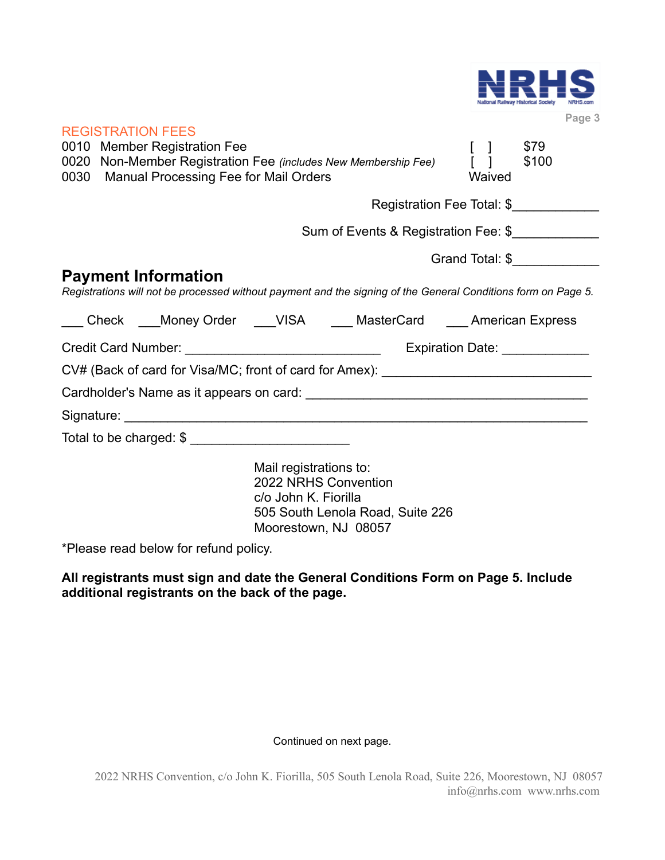

**Page 3** 

| <b>REGISTRATION FEES</b><br>0010 Member Registration Fee<br>0030 Manual Processing Fee for Mail Orders | 0020 Non-Member Registration Fee (includes New Membership Fee)                                                                     | $\begin{bmatrix} 1 \end{bmatrix}$<br>Waived | \$79<br>\$100   |
|--------------------------------------------------------------------------------------------------------|------------------------------------------------------------------------------------------------------------------------------------|---------------------------------------------|-----------------|
|                                                                                                        | Registration Fee Total: \$                                                                                                         |                                             |                 |
|                                                                                                        | Sum of Events & Registration Fee: \$                                                                                               |                                             |                 |
|                                                                                                        |                                                                                                                                    |                                             | Grand Total: \$ |
| <b>Payment Information</b>                                                                             | Registrations will not be processed without payment and the signing of the General Conditions form on Page 5.                      |                                             |                 |
|                                                                                                        | ___ Check ___Money Order ___VISA ____ MasterCard ___ American Express                                                              |                                             |                 |
|                                                                                                        |                                                                                                                                    |                                             |                 |
|                                                                                                        | CV# (Back of card for Visa/MC; front of card for Amex): ________________________                                                   |                                             |                 |
|                                                                                                        |                                                                                                                                    |                                             |                 |
|                                                                                                        |                                                                                                                                    |                                             |                 |
| Total to be charged: \$                                                                                |                                                                                                                                    |                                             |                 |
|                                                                                                        | Mail registrations to:<br>2022 NRHS Convention<br>c/o John K. Fiorilla<br>505 South Lenola Road, Suite 226<br>Moorestown, NJ 08057 |                                             |                 |
|                                                                                                        |                                                                                                                                    |                                             |                 |

\*Please read below for refund policy.

**All registrants must sign and date the General Conditions Form on Page 5. Include additional registrants on the back of the page.**

#### Continued on next page.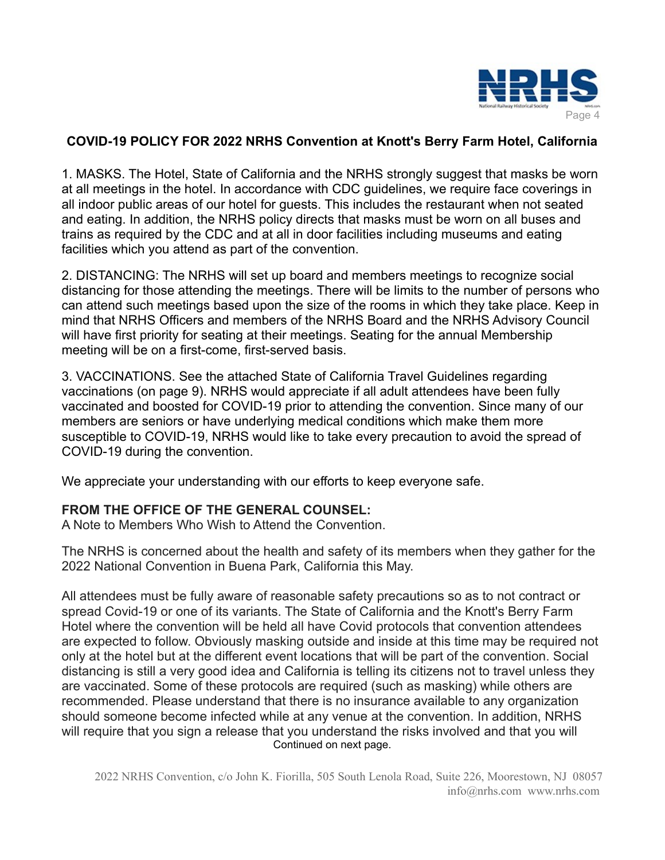

## **COVID-19 POLICY FOR 2022 NRHS Convention at Knott's Berry Farm Hotel, California**

1. MASKS. The Hotel, State of California and the NRHS strongly suggest that masks be worn at all meetings in the hotel. In accordance with CDC guidelines, we require face coverings in all indoor public areas of our hotel for guests. This includes the restaurant when not seated and eating. In addition, the NRHS policy directs that masks must be worn on all buses and trains as required by the CDC and at all in door facilities including museums and eating facilities which you attend as part of the convention.

2. DISTANCING: The NRHS will set up board and members meetings to recognize social distancing for those attending the meetings. There will be limits to the number of persons who can attend such meetings based upon the size of the rooms in which they take place. Keep in mind that NRHS Officers and members of the NRHS Board and the NRHS Advisory Council will have first priority for seating at their meetings. Seating for the annual Membership meeting will be on a first-come, first-served basis.

3. VACCINATIONS. See the attached State of California Travel Guidelines regarding vaccinations (on page 9). NRHS would appreciate if all adult attendees have been fully vaccinated and boosted for COVID-19 prior to attending the convention. Since many of our members are seniors or have underlying medical conditions which make them more susceptible to COVID-19, NRHS would like to take every precaution to avoid the spread of COVID-19 during the convention.

We appreciate your understanding with our efforts to keep everyone safe.

## **FROM THE OFFICE OF THE GENERAL COUNSEL:**

A Note to Members Who Wish to Attend the Convention.

The NRHS is concerned about the health and safety of its members when they gather for the 2022 National Convention in Buena Park, California this May.

All attendees must be fully aware of reasonable safety precautions so as to not contract or spread Covid-19 or one of its variants. The State of California and the Knott's Berry Farm Hotel where the convention will be held all have Covid protocols that convention attendees are expected to follow. Obviously masking outside and inside at this time may be required not only at the hotel but at the different event locations that will be part of the convention. Social distancing is still a very good idea and California is telling its citizens not to travel unless they are vaccinated. Some of these protocols are required (such as masking) while others are recommended. Please understand that there is no insurance available to any organization should someone become infected while at any venue at the convention. In addition, NRHS will require that you sign a release that you understand the risks involved and that you will Continued on next page.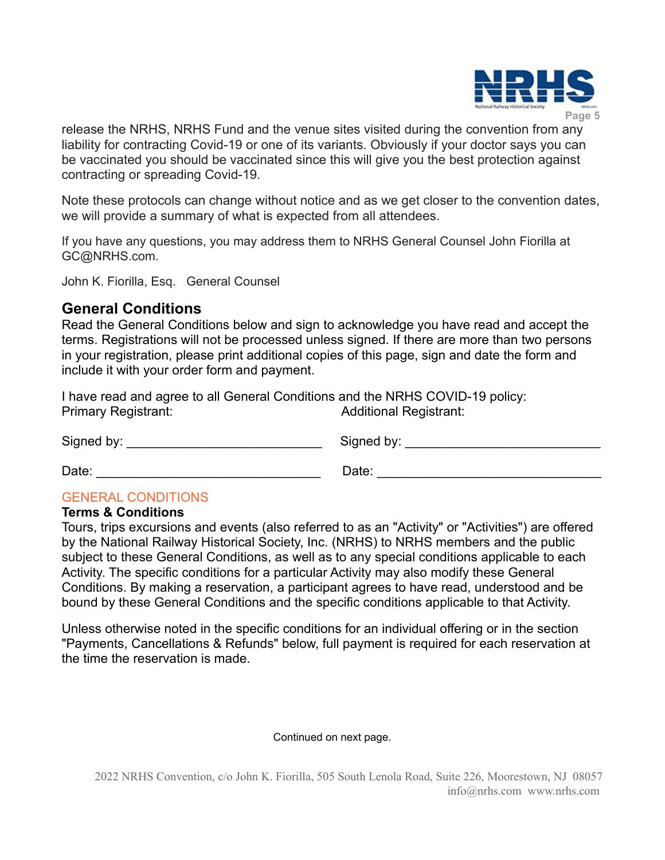

release the NRHS, NRHS Fund and the venue sites visited during the convention from any liability for contracting Covid-19 or one of its variants. Obviously if your doctor says you can be vaccinated you should be vaccinated since this will give you the best protection against contracting or spreading Covid-19.

Note these protocols can change without notice and as we get closer to the convention dates, we will provide a summary of what is expected from all attendees.

If you have any questions, you may address them to NRHS General Counsel John Fiorilla at GC@NRHS.com.

John K. Fiorilla, Esq. General Counsel

## **General Conditions**

Read the General Conditions below and sign to acknowledge you have read and accept the terms. Registrations will not be processed unless signed. If there are more than two persons in your registration, please print additional copies of this page, sign and date the form and include it with your order form and payment.

I have read and agree to all General Conditions and the NRHS COVID-19 policy: Primary Registrant: Additional Registrant:

Signed by: \_\_\_\_\_\_\_\_\_\_\_\_\_\_\_\_\_\_\_\_\_\_\_\_\_\_\_ Signed by: \_\_\_\_\_\_\_\_\_\_\_\_\_\_\_\_\_\_\_\_\_\_\_\_\_\_\_

Date: \_\_\_\_\_\_\_\_\_\_\_\_\_\_\_\_\_\_\_\_\_\_\_\_\_\_\_\_\_\_\_ Date: \_\_\_\_\_\_\_\_\_\_\_\_\_\_\_\_\_\_\_\_\_\_\_\_\_\_\_\_\_\_\_

## GENERAL CONDITIONS

#### **Terms & Conditions**

Tours, trips excursions and events (also referred to as an "Activity" or "Activities") are offered by the National Railway Historical Society, Inc. (NRHS) to NRHS members and the public subject to these General Conditions, as well as to any special conditions applicable to each Activity. The specific conditions for a particular Activity may also modify these General Conditions. By making a reservation, a participant agrees to have read, understood and be bound by these General Conditions and the specific conditions applicable to that Activity.

Unless otherwise noted in the specific conditions for an individual offering or in the section "Payments, Cancellations & Refunds" below, full payment is required for each reservation at the time the reservation is made.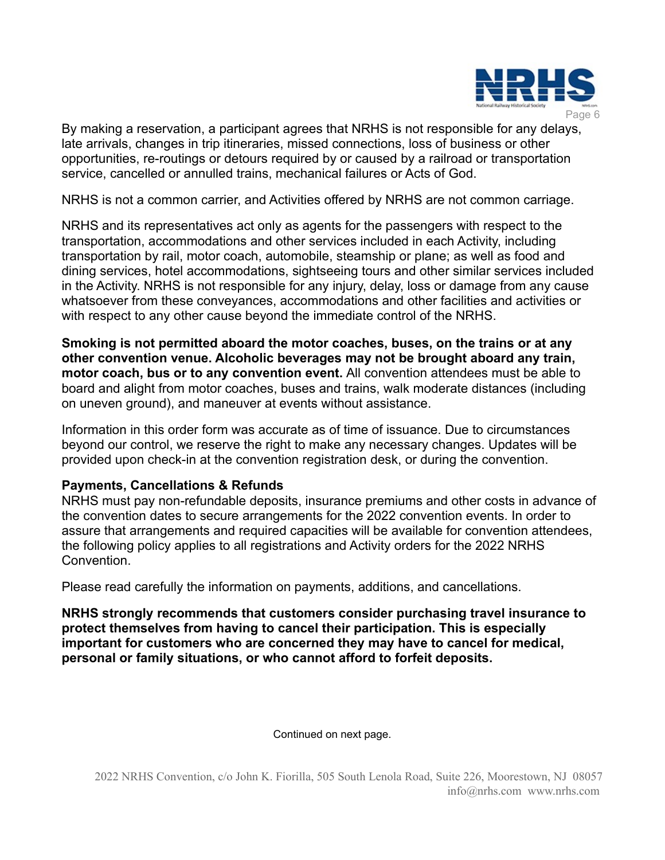

By making a reservation, a participant agrees that NRHS is not responsible for any delays, late arrivals, changes in trip itineraries, missed connections, loss of business or other opportunities, re-routings or detours required by or caused by a railroad or transportation service, cancelled or annulled trains, mechanical failures or Acts of God.

NRHS is not a common carrier, and Activities offered by NRHS are not common carriage.

NRHS and its representatives act only as agents for the passengers with respect to the transportation, accommodations and other services included in each Activity, including transportation by rail, motor coach, automobile, steamship or plane; as well as food and dining services, hotel accommodations, sightseeing tours and other similar services included in the Activity. NRHS is not responsible for any injury, delay, loss or damage from any cause whatsoever from these conveyances, accommodations and other facilities and activities or with respect to any other cause beyond the immediate control of the NRHS.

**Smoking is not permitted aboard the motor coaches, buses, on the trains or at any other convention venue. Alcoholic beverages may not be brought aboard any train, motor coach, bus or to any convention event.** All convention attendees must be able to board and alight from motor coaches, buses and trains, walk moderate distances (including on uneven ground), and maneuver at events without assistance.

Information in this order form was accurate as of time of issuance. Due to circumstances beyond our control, we reserve the right to make any necessary changes. Updates will be provided upon check-in at the convention registration desk, or during the convention.

## **Payments, Cancellations & Refunds**

NRHS must pay non-refundable deposits, insurance premiums and other costs in advance of the convention dates to secure arrangements for the 2022 convention events. In order to assure that arrangements and required capacities will be available for convention attendees, the following policy applies to all registrations and Activity orders for the 2022 NRHS Convention.

Please read carefully the information on payments, additions, and cancellations.

**NRHS strongly recommends that customers consider purchasing travel insurance to protect themselves from having to cancel their participation. This is especially important for customers who are concerned they may have to cancel for medical, personal or family situations, or who cannot afford to forfeit deposits.**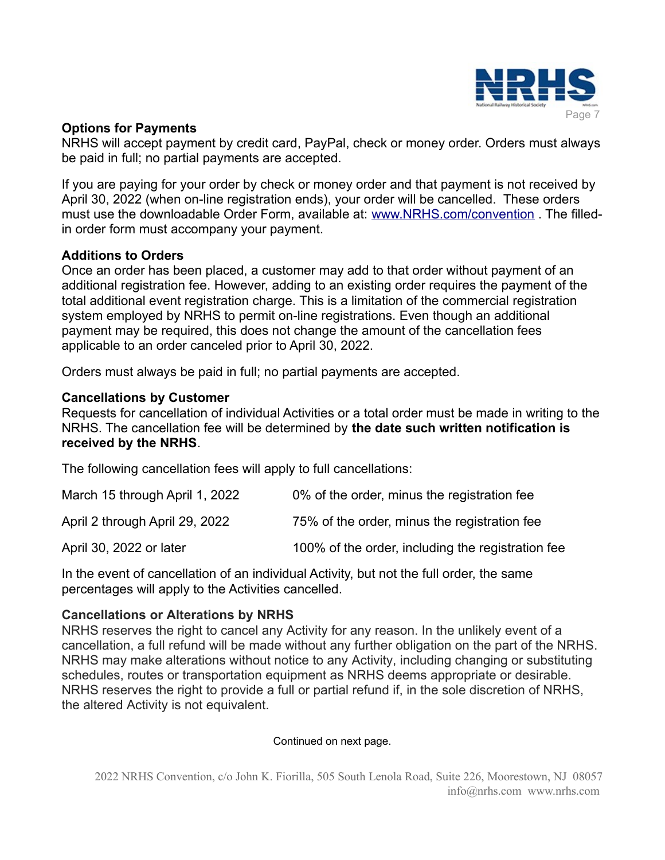

## **Options for Payments**

NRHS will accept payment by credit card, PayPal, check or money order. Orders must always be paid in full; no partial payments are accepted.

If you are paying for your order by check or money order and that payment is not received by April 30, 2022 (when on-line registration ends), your order will be cancelled. These orders must use the downloadable Order Form, available at: [www.NRHS.com/convention](https://www.NRHS.com/convention). The filledin order form must accompany your payment.

## **Additions to Orders**

Once an order has been placed, a customer may add to that order without payment of an additional registration fee. However, adding to an existing order requires the payment of the total additional event registration charge. This is a limitation of the commercial registration system employed by NRHS to permit on-line registrations. Even though an additional payment may be required, this does not change the amount of the cancellation fees applicable to an order canceled prior to April 30, 2022.

Orders must always be paid in full; no partial payments are accepted.

## **Cancellations by Customer**

Requests for cancellation of individual Activities or a total order must be made in writing to the NRHS. The cancellation fee will be determined by **the date such written notification is received by the NRHS**.

The following cancellation fees will apply to full cancellations:

| March 15 through April 1, 2022 | 0% of the order, minus the registration fee       |
|--------------------------------|---------------------------------------------------|
| April 2 through April 29, 2022 | 75% of the order, minus the registration fee      |
| April 30, 2022 or later        | 100% of the order, including the registration fee |

In the event of cancellation of an individual Activity, but not the full order, the same percentages will apply to the Activities cancelled.

## **Cancellations or Alterations by NRHS**

NRHS reserves the right to cancel any Activity for any reason. In the unlikely event of a cancellation, a full refund will be made without any further obligation on the part of the NRHS. NRHS may make alterations without notice to any Activity, including changing or substituting schedules, routes or transportation equipment as NRHS deems appropriate or desirable. NRHS reserves the right to provide a full or partial refund if, in the sole discretion of NRHS, the altered Activity is not equivalent.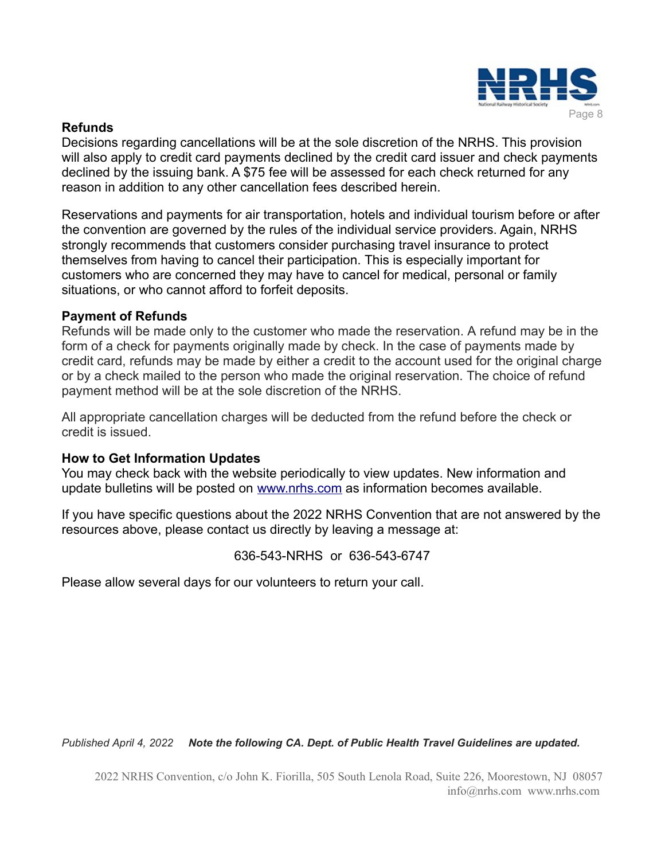

## **Refunds**

Decisions regarding cancellations will be at the sole discretion of the NRHS. This provision will also apply to credit card payments declined by the credit card issuer and check payments declined by the issuing bank. A \$75 fee will be assessed for each check returned for any reason in addition to any other cancellation fees described herein.

Reservations and payments for air transportation, hotels and individual tourism before or after the convention are governed by the rules of the individual service providers. Again, NRHS strongly recommends that customers consider purchasing travel insurance to protect themselves from having to cancel their participation. This is especially important for customers who are concerned they may have to cancel for medical, personal or family situations, or who cannot afford to forfeit deposits.

## **Payment of Refunds**

Refunds will be made only to the customer who made the reservation. A refund may be in the form of a check for payments originally made by check. In the case of payments made by credit card, refunds may be made by either a credit to the account used for the original charge or by a check mailed to the person who made the original reservation. The choice of refund payment method will be at the sole discretion of the NRHS.

All appropriate cancellation charges will be deducted from the refund before the check or credit is issued.

## **How to Get Information Updates**

You may check back with the website periodically to view updates. New information and update bulletins will be posted on [www.nrhs.com](http://www.nrhs.com/) as information becomes available.

If you have specific questions about the 2022 NRHS Convention that are not answered by the resources above, please contact us directly by leaving a message at:

636-543-NRHS or 636-543-6747

Please allow several days for our volunteers to return your call.

*Published April 4, 2022 Note the following CA. Dept. of Public Health Travel Guidelines are updated.*